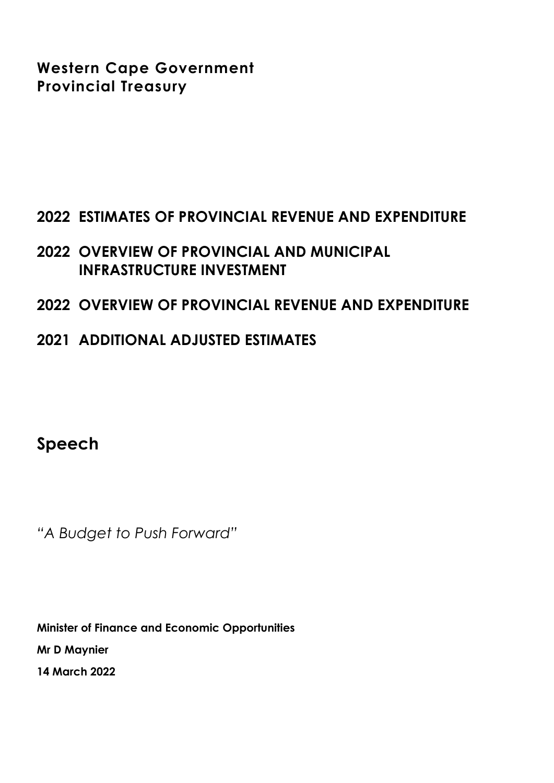**Western Cape Government Provincial Treasury**

# **2022 ESTIMATES OF PROVINCIAL REVENUE AND EXPENDITURE**

# **2022 OVERVIEW OF PROVINCIAL AND MUNICIPAL INFRASTRUCTURE INVESTMENT**

## **2022 OVERVIEW OF PROVINCIAL REVENUE AND EXPENDITURE**

**2021 ADDITIONAL ADJUSTED ESTIMATES**

**Speech**

*"A Budget to Push Forward"*

**Minister of Finance and Economic Opportunities Mr D Maynier 14 March 2022**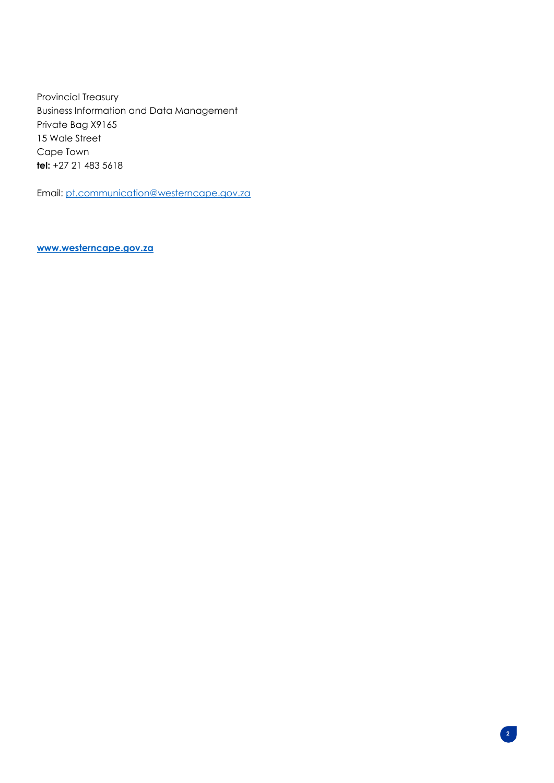Provincial Treasury Business Information and Data Management Private Bag X9165 15 Wale Street Cape Town **tel:** +27 21 483 5618

Email[: pt.communication@westerncape.gov.za](mailto:pt.communication@westerncape.gov.za)

**[www.westerncape.gov.za](http://www.westerncape.gov.za/)**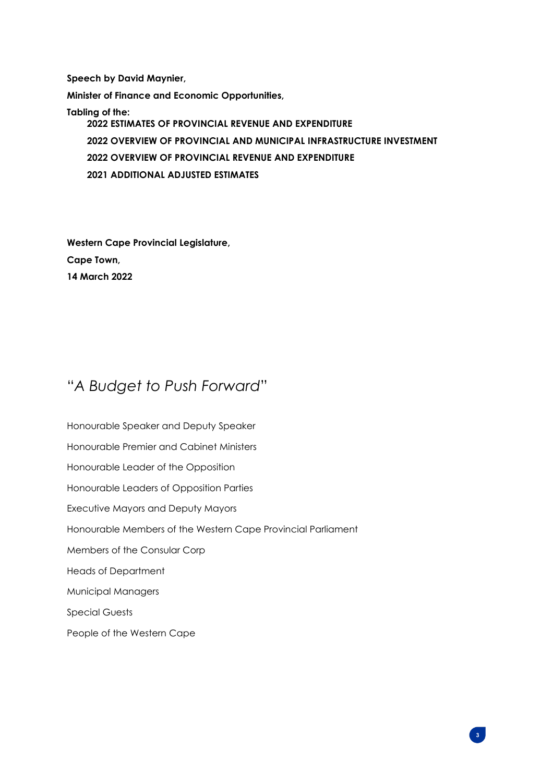**Speech by David Maynier,**

**Minister of Finance and Economic Opportunities,**

**Tabling of the: 2022 ESTIMATES OF PROVINCIAL REVENUE AND EXPENDITURE 2022 OVERVIEW OF PROVINCIAL AND MUNICIPAL INFRASTRUCTURE INVESTMENT 2022 OVERVIEW OF PROVINCIAL REVENUE AND EXPENDITURE 2021 ADDITIONAL ADJUSTED ESTIMATES**

**Western Cape Provincial Legislature, Cape Town, 14 March 2022**

# "*A Budget to Push Forward*"

Honourable Speaker and Deputy Speaker Honourable Premier and Cabinet Ministers Honourable Leader of the Opposition Honourable Leaders of Opposition Parties Executive Mayors and Deputy Mayors Honourable Members of the Western Cape Provincial Parliament Members of the Consular Corp Heads of Department Municipal Managers Special Guests People of the Western Cape

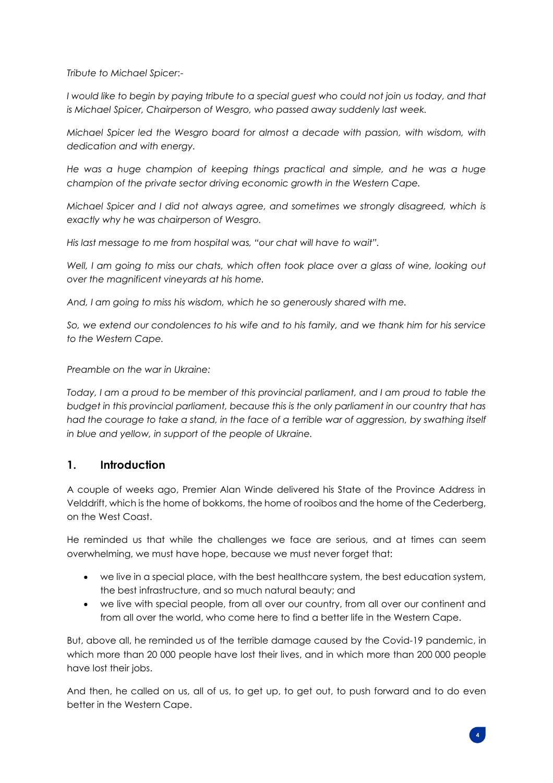*Tribute to Michael Spicer*:-

*I would like to begin by paying tribute to a special guest who could not join us today, and that is Michael Spicer, Chairperson of Wesgro, who passed away suddenly last week.*

*Michael Spicer led the Wesgro board for almost a decade with passion, with wisdom, with dedication and with energy.*

*He was a huge champion of keeping things practical and simple, and he was a huge champion of the private sector driving economic growth in the Western Cape.*

*Michael Spicer and I did not always agree, and sometimes we strongly disagreed, which is exactly why he was chairperson of Wesgro.*

*His last message to me from hospital was, "our chat will have to wait".* 

*Well, I am going to miss our chats, which often took place over a glass of wine, looking out over the magnificent vineyards at his home.* 

*And, I am going to miss his wisdom, which he so generously shared with me.*

*So, we extend our condolences to his wife and to his family, and we thank him for his service to the Western Cape.*

*Preamble on the war in Ukraine:* 

*Today, I am a proud to be member of this provincial parliament, and I am proud to table the budget in this provincial parliament, because this is the only parliament in our country that has had the courage to take a stand, in the face of a terrible war of aggression, by swathing itself in blue and yellow, in support of the people of Ukraine.*

#### **1. Introduction**

A couple of weeks ago, Premier Alan Winde delivered his State of the Province Address in Velddrift, which is the home of bokkoms, the home of rooibos and the home of the Cederberg, on the West Coast.

He reminded us that while the challenges we face are serious, and at times can seem overwhelming, we must have hope, because we must never forget that:

- we live in a special place, with the best healthcare system, the best education system, the best infrastructure, and so much natural beauty; and
- we live with special people, from all over our country, from all over our continent and from all over the world, who come here to find a better life in the Western Cape.

But, above all, he reminded us of the terrible damage caused by the Covid-19 pandemic, in which more than 20 000 people have lost their lives, and in which more than 200 000 people have lost their jobs.

And then, he called on us, all of us, to get up, to get out, to push forward and to do even better in the Western Cape.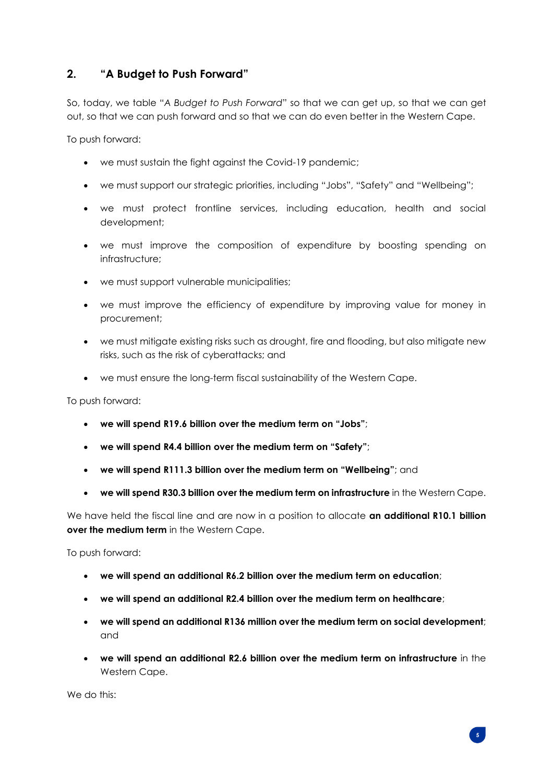#### **2. "A Budget to Push Forward"**

So, today, we table "*A Budget to Push Forward*" so that we can get up, so that we can get out, so that we can push forward and so that we can do even better in the Western Cape.

To push forward:

- we must sustain the fight against the Covid-19 pandemic;
- we must support our strategic priorities, including "Jobs", "Safety" and "Wellbeing";
- we must protect frontline services, including education, health and social development;
- we must improve the composition of expenditure by boosting spending on infrastructure;
- we must support vulnerable municipalities;
- we must improve the efficiency of expenditure by improving value for money in procurement;
- we must mitigate existing risks such as drought, fire and flooding, but also mitigate new risks, such as the risk of cyberattacks; and
- we must ensure the long-term fiscal sustainability of the Western Cape.

To push forward:

- **we will spend R19.6 billion over the medium term on "Jobs"**;
- **we will spend R4.4 billion over the medium term on "Safety"**;
- **we will spend R111.3 billion over the medium term on "Wellbeing"**; and
- **we will spend R30.3 billion over the medium term on infrastructure** in the Western Cape.

We have held the fiscal line and are now in a position to allocate **an additional R10.1 billion over the medium term** in the Western Cape.

To push forward:

- **we will spend an additional R6.2 billion over the medium term on education**;
- **we will spend an additional R2.4 billion over the medium term on healthcare**;
- **we will spend an additional R136 million over the medium term on social development**; and
- **we will spend an additional R2.6 billion over the medium term on infrastructure** in the Western Cape.

We do this: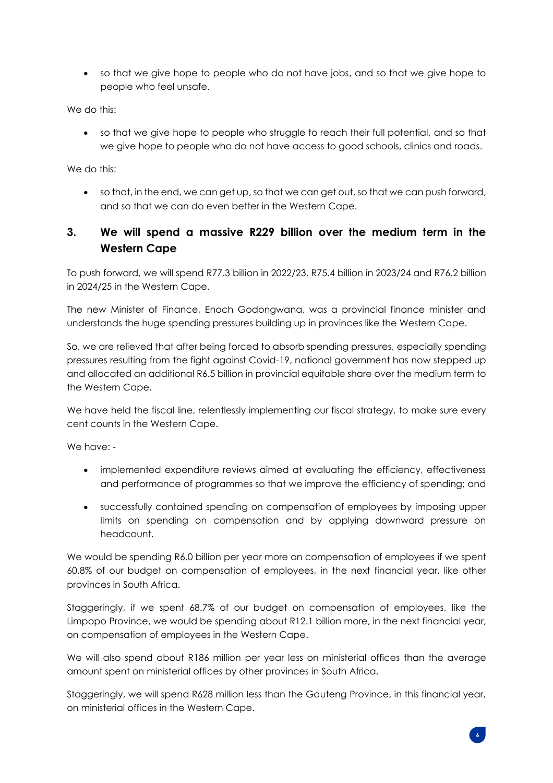• so that we give hope to people who do not have jobs, and so that we give hope to people who feel unsafe.

We do this:

• so that we give hope to people who struggle to reach their full potential, and so that we give hope to people who do not have access to good schools, clinics and roads.

We do this:

• so that, in the end, we can get up, so that we can get out, so that we can push forward, and so that we can do even better in the Western Cape.

#### **3. We will spend a massive R229 billion over the medium term in the Western Cape**

To push forward, we will spend R77.3 billion in 2022/23, R75.4 billion in 2023/24 and R76.2 billion in 2024/25 in the Western Cape.

The new Minister of Finance, Enoch Godongwana, was a provincial finance minister and understands the huge spending pressures building up in provinces like the Western Cape.

So, we are relieved that after being forced to absorb spending pressures, especially spending pressures resulting from the fight against Covid-19, national government has now stepped up and allocated an additional R6.5 billion in provincial equitable share over the medium term to the Western Cape.

We have held the fiscal line, relentlessly implementing our fiscal strategy, to make sure every cent counts in the Western Cape.

We have: -

- implemented expenditure reviews aimed at evaluating the efficiency, effectiveness and performance of programmes so that we improve the efficiency of spending; and
- successfully contained spending on compensation of employees by imposing upper limits on spending on compensation and by applying downward pressure on headcount.

We would be spending R6.0 billion per year more on compensation of employees if we spent 60.8% of our budget on compensation of employees, in the next financial year, like other provinces in South Africa.

Staggeringly, if we spent 68.7% of our budget on compensation of employees, like the Limpopo Province, we would be spending about R12.1 billion more, in the next financial year, on compensation of employees in the Western Cape.

We will also spend about R186 million per year less on ministerial offices than the average amount spent on ministerial offices by other provinces in South Africa.

Staggeringly, we will spend R628 million less than the Gauteng Province, in this financial year, on ministerial offices in the Western Cape.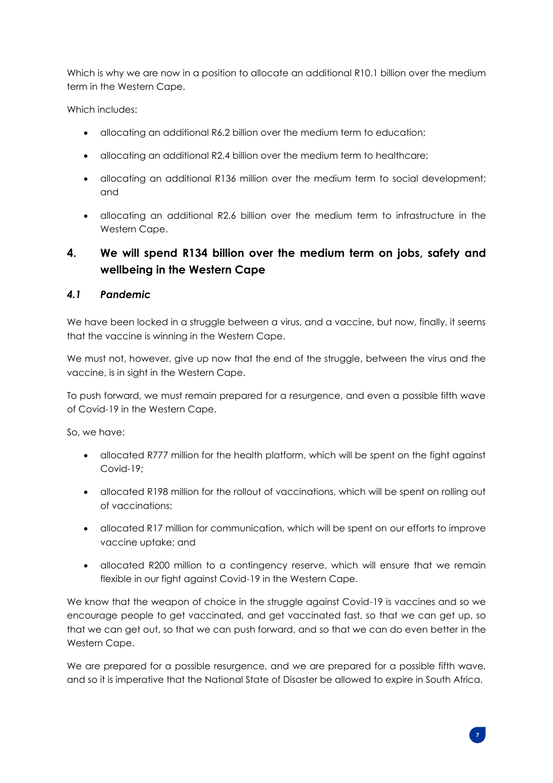Which is why we are now in a position to allocate an additional R10.1 billion over the medium term in the Western Cape.

Which includes:

- allocating an additional R6.2 billion over the medium term to education;
- allocating an additional R2.4 billion over the medium term to healthcare;
- allocating an additional R136 million over the medium term to social development; and
- allocating an additional R2.6 billion over the medium term to infrastructure in the Western Cape.

## **4. We will spend R134 billion over the medium term on jobs, safety and wellbeing in the Western Cape**

#### *4.1 Pandemic*

We have been locked in a struggle between a virus, and a vaccine, but now, finally, it seems that the vaccine is winning in the Western Cape.

We must not, however, give up now that the end of the struggle, between the virus and the vaccine, is in sight in the Western Cape.

To push forward, we must remain prepared for a resurgence, and even a possible fifth wave of Covid-19 in the Western Cape.

So, we have:

- allocated R777 million for the health platform, which will be spent on the fight against Covid-19;
- allocated R198 million for the rollout of vaccinations, which will be spent on rolling out of vaccinations;
- allocated R17 million for communication, which will be spent on our efforts to improve vaccine uptake; and
- allocated R200 million to a contingency reserve, which will ensure that we remain flexible in our fight against Covid-19 in the Western Cape.

We know that the weapon of choice in the struggle against Covid-19 is vaccines and so we encourage people to get vaccinated, and get vaccinated fast, so that we can get up, so that we can get out, so that we can push forward, and so that we can do even better in the Western Cape.

We are prepared for a possible resurgence, and we are prepared for a possible fifth wave, and so it is imperative that the National State of Disaster be allowed to expire in South Africa.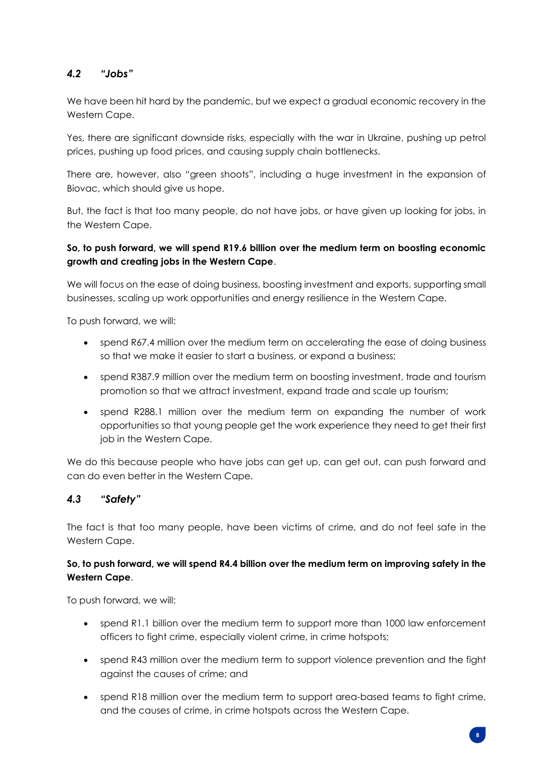#### *4.2 "Jobs"*

We have been hit hard by the pandemic, but we expect a gradual economic recovery in the Western Cape.

Yes, there are significant downside risks, especially with the war in Ukraine, pushing up petrol prices, pushing up food prices, and causing supply chain bottlenecks.

There are, however, also "green shoots", including a huge investment in the expansion of Biovac, which should give us hope.

But, the fact is that too many people, do not have jobs, or have given up looking for jobs, in the Western Cape.

#### **So, to push forward, we will spend R19.6 billion over the medium term on boosting economic growth and creating jobs in the Western Cape**.

We will focus on the ease of doing business, boosting investment and exports, supporting small businesses, scaling up work opportunities and energy resilience in the Western Cape.

To push forward, we will:

- spend R67.4 million over the medium term on accelerating the ease of doing business so that we make it easier to start a business, or expand a business;
- spend R387.9 million over the medium term on boosting investment, trade and tourism promotion so that we attract investment, expand trade and scale up tourism;
- spend R288.1 million over the medium term on expanding the number of work opportunities so that young people get the work experience they need to get their first job in the Western Cape.

We do this because people who have jobs can get up, can get out, can push forward and can do even better in the Western Cape.

#### *4.3 "Safety"*

The fact is that too many people, have been victims of crime, and do not feel safe in the Western Cape.

#### **So, to push forward, we will spend R4.4 billion over the medium term on improving safety in the Western Cape**.

To push forward, we will:

- spend R1.1 billion over the medium term to support more than 1000 law enforcement officers to fight crime, especially violent crime, in crime hotspots;
- spend R43 million over the medium term to support violence prevention and the fight against the causes of crime; and
- spend R18 million over the medium term to support area-based teams to fight crime, and the causes of crime, in crime hotspots across the Western Cape.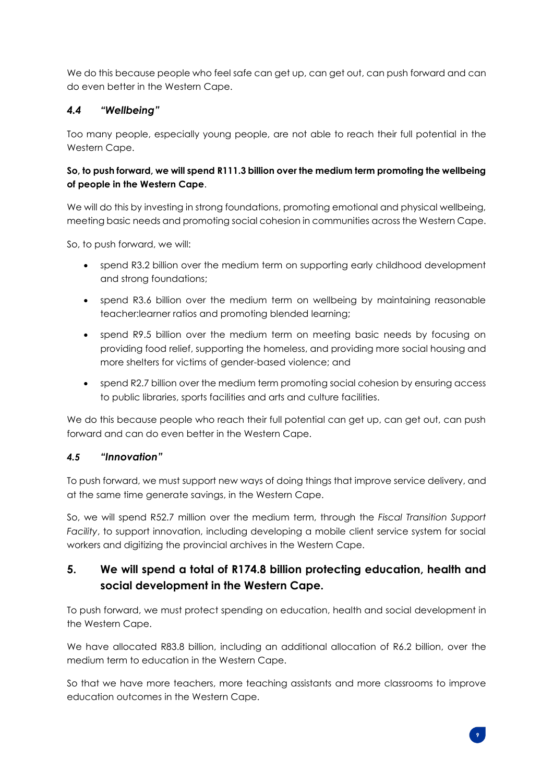We do this because people who feel safe can get up, can get out, can push forward and can do even better in the Western Cape.

#### *4.4 "Wellbeing"*

Too many people, especially young people, are not able to reach their full potential in the Western Cape.

#### **So, to push forward, we will spend R111.3 billion over the medium term promoting the wellbeing of people in the Western Cape**.

We will do this by investing in strong foundations, promoting emotional and physical wellbeing, meeting basic needs and promoting social cohesion in communities across the Western Cape.

So, to push forward, we will:

- spend R3.2 billion over the medium term on supporting early childhood development and strong foundations;
- spend R3.6 billion over the medium term on wellbeing by maintaining reasonable teacher:learner ratios and promoting blended learning;
- spend R9.5 billion over the medium term on meeting basic needs by focusing on providing food relief, supporting the homeless, and providing more social housing and more shelters for victims of gender-based violence; and
- spend R2.7 billion over the medium term promoting social cohesion by ensuring access to public libraries, sports facilities and arts and culture facilities.

We do this because people who reach their full potential can get up, can get out, can push forward and can do even better in the Western Cape.

#### *4.5 "Innovation"*

To push forward, we must support new ways of doing things that improve service delivery, and at the same time generate savings, in the Western Cape.

So, we will spend R52.7 million over the medium term, through the *Fiscal Transition Support Facility*, to support innovation, including developing a mobile client service system for social workers and digitizing the provincial archives in the Western Cape.

## **5. We will spend a total of R174.8 billion protecting education, health and social development in the Western Cape.**

To push forward, we must protect spending on education, health and social development in the Western Cape.

We have allocated R83.8 billion, including an additional allocation of R6.2 billion, over the medium term to education in the Western Cape.

So that we have more teachers, more teaching assistants and more classrooms to improve education outcomes in the Western Cape.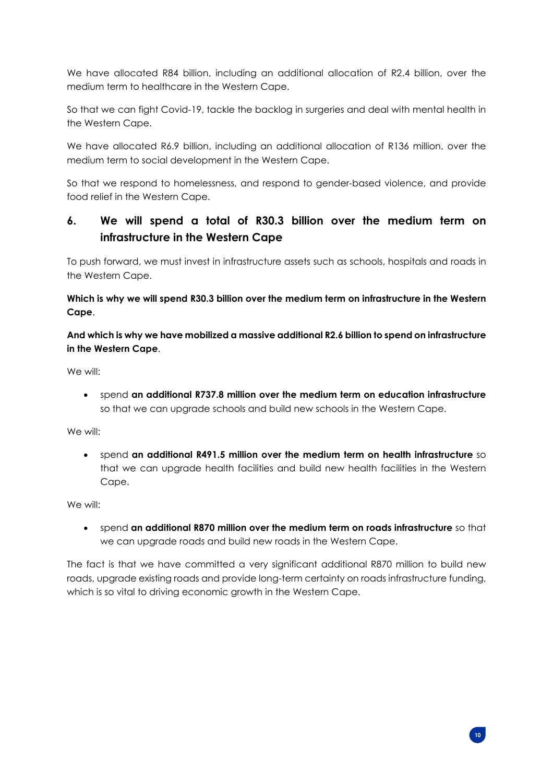We have allocated R84 billion, including an additional allocation of R2.4 billion, over the medium term to healthcare in the Western Cape.

So that we can fight Covid-19, tackle the backlog in surgeries and deal with mental health in the Western Cape.

We have allocated R6.9 billion, including an additional allocation of R136 million, over the medium term to social development in the Western Cape.

So that we respond to homelessness, and respond to gender-based violence, and provide food relief in the Western Cape.

## **6. We will spend a total of R30.3 billion over the medium term on infrastructure in the Western Cape**

To push forward, we must invest in infrastructure assets such as schools, hospitals and roads in the Western Cape.

**Which is why we will spend R30.3 billion over the medium term on infrastructure in the Western Cape**.

**And which is why we have mobilized a massive additional R2.6 billion to spend on infrastructure in the Western Cape**.

We will:

• spend **an additional R737.8 million over the medium term on education infrastructure** so that we can upgrade schools and build new schools in the Western Cape.

We will:

• spend **an additional R491.5 million over the medium term on health infrastructure** so that we can upgrade health facilities and build new health facilities in the Western Cape.

We will:

• spend **an additional R870 million over the medium term on roads infrastructure** so that we can upgrade roads and build new roads in the Western Cape.

The fact is that we have committed a very significant additional R870 million to build new roads, upgrade existing roads and provide long-term certainty on roads infrastructure funding, which is so vital to driving economic growth in the Western Cape.

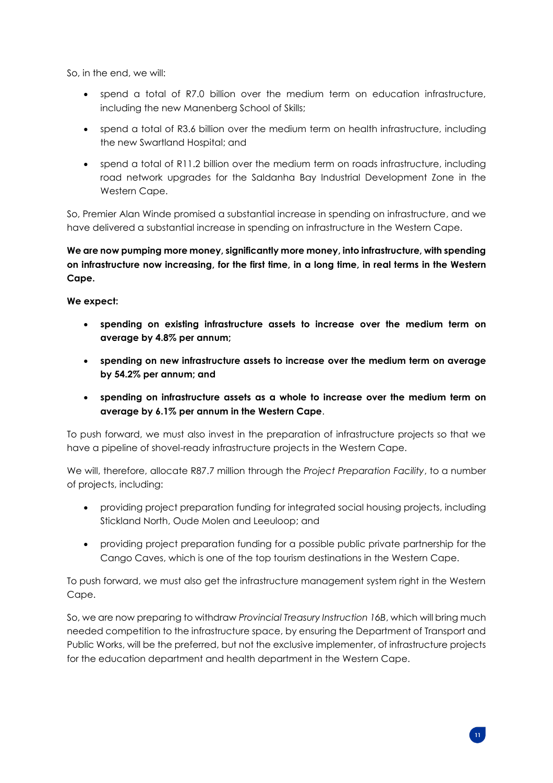So, in the end, we will:

- spend a total of R7.0 billion over the medium term on education infrastructure, including the new Manenberg School of Skills;
- spend a total of R3.6 billion over the medium term on health infrastructure, including the new Swartland Hospital; and
- spend a total of R11.2 billion over the medium term on roads infrastructure, including road network upgrades for the Saldanha Bay Industrial Development Zone in the Western Cape.

So, Premier Alan Winde promised a substantial increase in spending on infrastructure, and we have delivered a substantial increase in spending on infrastructure in the Western Cape.

**We are now pumping more money, significantly more money, into infrastructure, with spending on infrastructure now increasing, for the first time, in a long time, in real terms in the Western Cape.**

**We expect:** 

- **spending on existing infrastructure assets to increase over the medium term on average by 4.8% per annum;**
- **spending on new infrastructure assets to increase over the medium term on average by 54.2% per annum; and**
- **spending on infrastructure assets as a whole to increase over the medium term on average by 6.1% per annum in the Western Cape**.

To push forward, we must also invest in the preparation of infrastructure projects so that we have a pipeline of shovel-ready infrastructure projects in the Western Cape.

We will, therefore, allocate R87.7 million through the *Project Preparation Facility*, to a number of projects, including:

- providing project preparation funding for integrated social housing projects, including Stickland North, Oude Molen and Leeuloop; and
- providing project preparation funding for a possible public private partnership for the Cango Caves, which is one of the top tourism destinations in the Western Cape.

To push forward, we must also get the infrastructure management system right in the Western Cape.

So, we are now preparing to withdraw *Provincial Treasury Instruction 16B*, which will bring much needed competition to the infrastructure space, by ensuring the Department of Transport and Public Works, will be the preferred, but not the exclusive implementer, of infrastructure projects for the education department and health department in the Western Cape.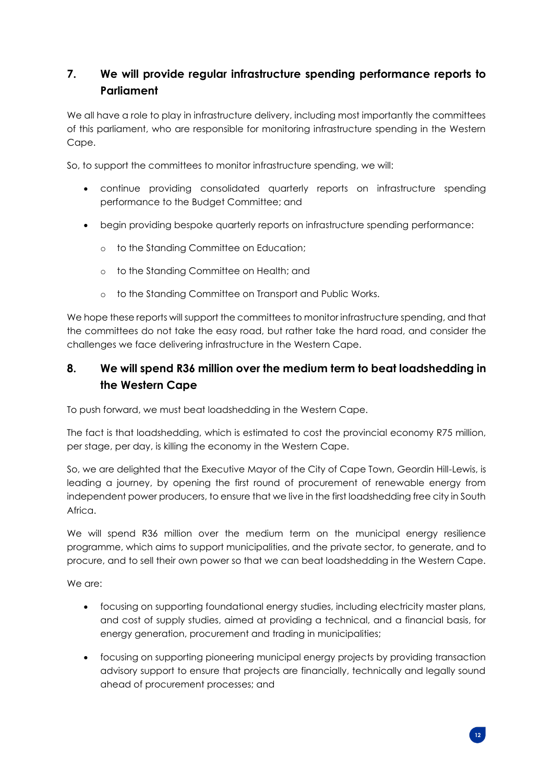## **7. We will provide regular infrastructure spending performance reports to Parliament**

We all have a role to play in infrastructure delivery, including most importantly the committees of this parliament, who are responsible for monitoring infrastructure spending in the Western Cape.

So, to support the committees to monitor infrastructure spending, we will:

- continue providing consolidated quarterly reports on infrastructure spending performance to the Budget Committee; and
- begin providing bespoke quarterly reports on infrastructure spending performance:
	- o to the Standing Committee on Education;
	- o to the Standing Committee on Health; and
	- o to the Standing Committee on Transport and Public Works.

We hope these reports will support the committees to monitor infrastructure spending, and that the committees do not take the easy road, but rather take the hard road, and consider the challenges we face delivering infrastructure in the Western Cape.

## **8. We will spend R36 million over the medium term to beat loadshedding in the Western Cape**

To push forward, we must beat loadshedding in the Western Cape.

The fact is that loadshedding, which is estimated to cost the provincial economy R75 million, per stage, per day, is killing the economy in the Western Cape.

So, we are delighted that the Executive Mayor of the City of Cape Town, Geordin Hill-Lewis, is leading a journey, by opening the first round of procurement of renewable energy from independent power producers, to ensure that we live in the first loadshedding free city in South Africa.

We will spend R36 million over the medium term on the municipal energy resilience programme, which aims to support municipalities, and the private sector, to generate, and to procure, and to sell their own power so that we can beat loadshedding in the Western Cape.

We are:

- focusing on supporting foundational energy studies, including electricity master plans, and cost of supply studies, aimed at providing a technical, and a financial basis, for energy generation, procurement and trading in municipalities;
- focusing on supporting pioneering municipal energy projects by providing transaction advisory support to ensure that projects are financially, technically and legally sound ahead of procurement processes; and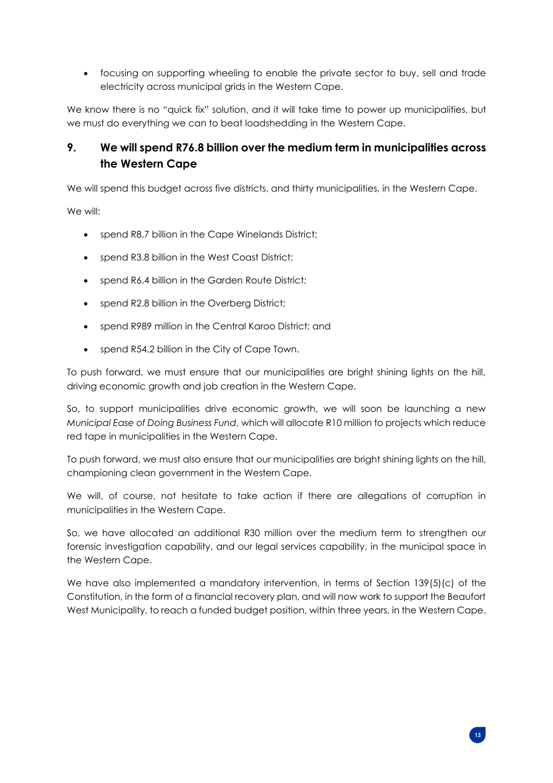• focusing on supporting wheeling to enable the private sector to buy, sell and trade electricity across municipal grids in the Western Cape.

We know there is no "quick fix" solution, and it will take time to power up municipalities, but we must do everything we can to beat loadshedding in the Western Cape.

## **9. We will spend R76.8 billion over the medium term in municipalities across the Western Cape**

We will spend this budget across five districts, and thirty municipalities, in the Western Cape.

We will:

- spend R8.7 billion in the Cape Winelands District;
- spend R3.8 billion in the West Coast District;
- spend R6.4 billion in the Garden Route District;
- spend R2.8 billion in the Overberg District;
- spend R989 million in the Central Karoo District; and
- spend R54.2 billion in the City of Cape Town.

To push forward, we must ensure that our municipalities are bright shining lights on the hill, driving economic growth and job creation in the Western Cape.

So, to support municipalities drive economic growth, we will soon be launching a new *Municipal Ease of Doing Business Fund*, which will allocate R10 million to projects which reduce red tape in municipalities in the Western Cape.

To push forward, we must also ensure that our municipalities are bright shining lights on the hill, championing clean government in the Western Cape.

We will, of course, not hesitate to take action if there are allegations of corruption in municipalities in the Western Cape.

So, we have allocated an additional R30 million over the medium term to strengthen our forensic investigation capability, and our legal services capability, in the municipal space in the Western Cape.

We have also implemented a mandatory intervention, in terms of Section 139(5)(c) of the Constitution, in the form of a financial recovery plan, and will now work to support the Beaufort West Municipality, to reach a funded budget position, within three years, in the Western Cape.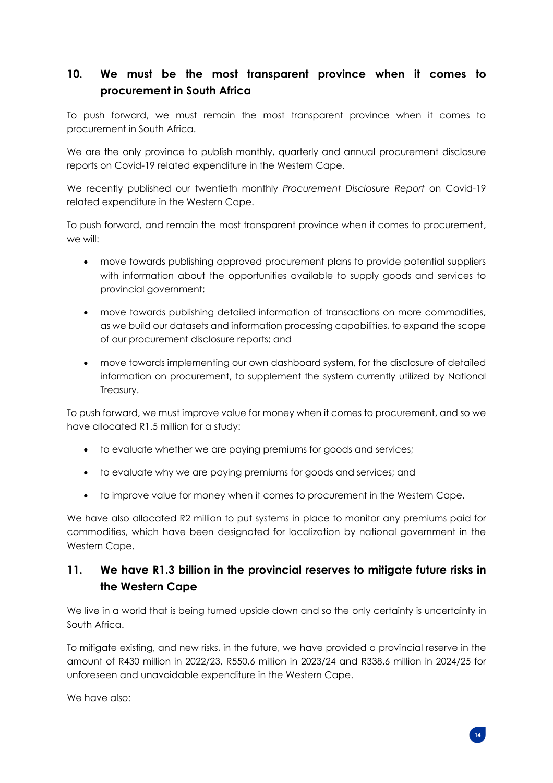## **10. We must be the most transparent province when it comes to procurement in South Africa**

To push forward, we must remain the most transparent province when it comes to procurement in South Africa.

We are the only province to publish monthly, quarterly and annual procurement disclosure reports on Covid-19 related expenditure in the Western Cape.

We recently published our twentieth monthly *Procurement Disclosure Report* on Covid-19 related expenditure in the Western Cape.

To push forward, and remain the most transparent province when it comes to procurement, we will:

- move towards publishing approved procurement plans to provide potential suppliers with information about the opportunities available to supply goods and services to provincial government;
- move towards publishing detailed information of transactions on more commodities, as we build our datasets and information processing capabilities, to expand the scope of our procurement disclosure reports; and
- move towards implementing our own dashboard system, for the disclosure of detailed information on procurement, to supplement the system currently utilized by National Treasury.

To push forward, we must improve value for money when it comes to procurement, and so we have allocated R1.5 million for a study:

- to evaluate whether we are paying premiums for goods and services;
- to evaluate why we are paying premiums for goods and services; and
- to improve value for money when it comes to procurement in the Western Cape.

We have also allocated R2 million to put systems in place to monitor any premiums paid for commodities, which have been designated for localization by national government in the Western Cape.

## **11. We have R1.3 billion in the provincial reserves to mitigate future risks in the Western Cape**

We live in a world that is being turned upside down and so the only certainty is uncertainty in South Africa.

To mitigate existing, and new risks, in the future, we have provided a provincial reserve in the amount of R430 million in 2022/23, R550.6 million in 2023/24 and R338.6 million in 2024/25 for unforeseen and unavoidable expenditure in the Western Cape.

We have also: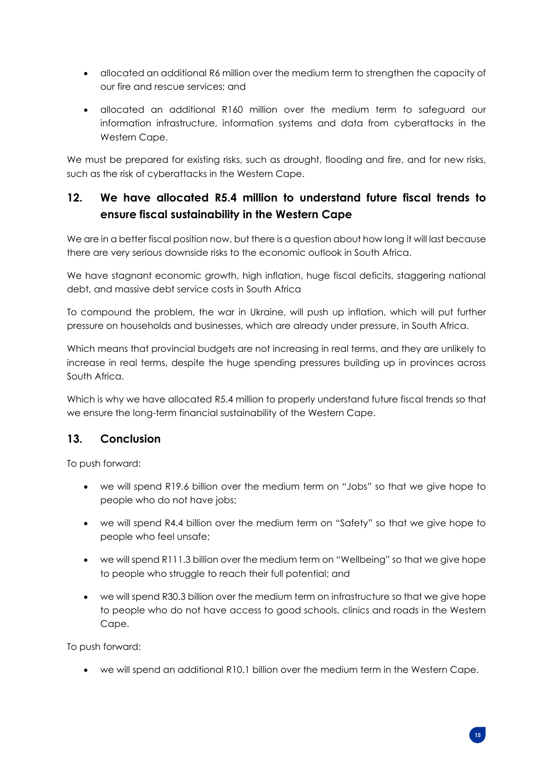- allocated an additional R6 million over the medium term to strengthen the capacity of our fire and rescue services; and
- allocated an additional R160 million over the medium term to safeguard our information infrastructure, information systems and data from cyberattacks in the Western Cape.

We must be prepared for existing risks, such as drought, flooding and fire, and for new risks, such as the risk of cyberattacks in the Western Cape.

## **12. We have allocated R5.4 million to understand future fiscal trends to ensure fiscal sustainability in the Western Cape**

We are in a better fiscal position now, but there is a question about how long it will last because there are very serious downside risks to the economic outlook in South Africa.

We have stagnant economic growth, high inflation, huge fiscal deficits, staggering national debt, and massive debt service costs in South Africa

To compound the problem, the war in Ukraine, will push up inflation, which will put further pressure on households and businesses, which are already under pressure, in South Africa.

Which means that provincial budgets are not increasing in real terms, and they are unlikely to increase in real terms, despite the huge spending pressures building up in provinces across South Africa.

Which is why we have allocated R5.4 million to properly understand future fiscal trends so that we ensure the long-term financial sustainability of the Western Cape.

#### **13. Conclusion**

To push forward:

- we will spend R19.6 billion over the medium term on "Jobs" so that we give hope to people who do not have jobs;
- we will spend R4.4 billion over the medium term on "Safety" so that we give hope to people who feel unsafe;
- we will spend R111.3 billion over the medium term on "Wellbeing" so that we give hope to people who struggle to reach their full potential; and
- we will spend R30.3 billion over the medium term on infrastructure so that we give hope to people who do not have access to good schools, clinics and roads in the Western Cape.

To push forward:

• we will spend an additional R10.1 billion over the medium term in the Western Cape.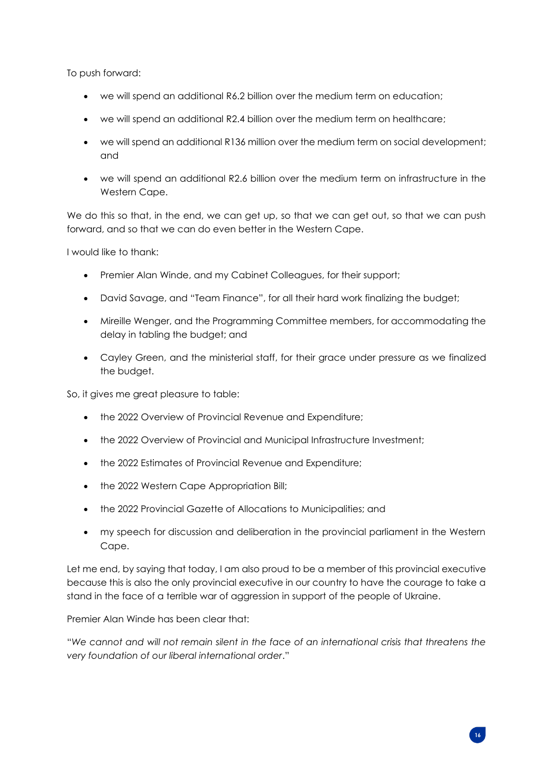To push forward:

- we will spend an additional R6.2 billion over the medium term on education;
- we will spend an additional R2.4 billion over the medium term on healthcare;
- we will spend an additional R136 million over the medium term on social development; and
- we will spend an additional R2.6 billion over the medium term on infrastructure in the Western Cape.

We do this so that, in the end, we can get up, so that we can get out, so that we can push forward, and so that we can do even better in the Western Cape.

I would like to thank:

- Premier Alan Winde, and my Cabinet Colleagues, for their support;
- David Savage, and "Team Finance", for all their hard work finalizing the budget;
- Mireille Wenger, and the Programming Committee members, for accommodating the delay in tabling the budget; and
- Cayley Green, and the ministerial staff, for their grace under pressure as we finalized the budget.

So, it gives me great pleasure to table:

- the 2022 Overview of Provincial Revenue and Expenditure;
- the 2022 Overview of Provincial and Municipal Infrastructure Investment;
- the 2022 Estimates of Provincial Revenue and Expenditure;
- the 2022 Western Cape Appropriation Bill;
- the 2022 Provincial Gazette of Allocations to Municipalities; and
- my speech for discussion and deliberation in the provincial parliament in the Western Cape.

Let me end, by saying that today, I am also proud to be a member of this provincial executive because this is also the only provincial executive in our country to have the courage to take a stand in the face of a terrible war of aggression in support of the people of Ukraine.

Premier Alan Winde has been clear that:

"*We cannot and will not remain silent in the face of an international crisis that threatens the very foundation of our liberal international order*."